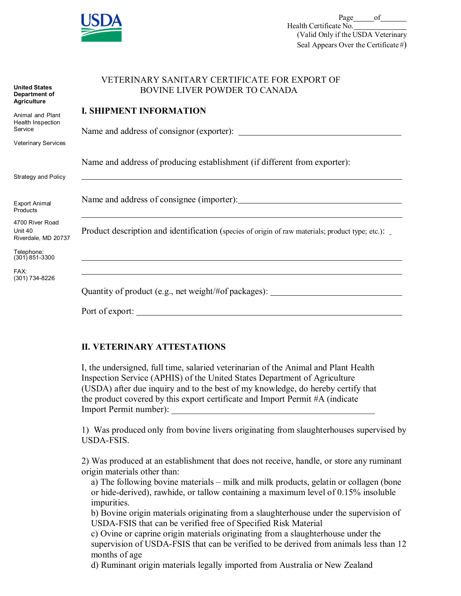

|                                                             | VETERINARY SANITARY CERTIFICATE FOR EXPORT OF                                                    |
|-------------------------------------------------------------|--------------------------------------------------------------------------------------------------|
| <b>United States</b><br>Department of<br><b>Agriculture</b> | <b>BOVINE LIVER POWDER TO CANADA</b>                                                             |
| Animal and Plant<br>Health Inspection                       | <b>I. SHIPMENT INFORMATION</b>                                                                   |
| Service                                                     |                                                                                                  |
| <b>Veterinary Services</b>                                  |                                                                                                  |
|                                                             | Name and address of producing establishment (if different from exporter):                        |
| Strategy and Policy                                         |                                                                                                  |
|                                                             | Name and address of consignee (importer):                                                        |
| <b>Export Animal</b><br>Products                            |                                                                                                  |
| 4700 River Road<br>Unit 40                                  |                                                                                                  |
| Riverdale, MD 20737                                         | Product description and identification (species of origin of raw materials; product type; etc.): |
| Telephone:<br>$(301)$ 851-3300                              |                                                                                                  |
| FAX:<br>(301) 734-8226                                      |                                                                                                  |
|                                                             | Quantity of product (e.g., net weight/#of packages): ___________________________                 |
|                                                             | Port of export:                                                                                  |

VETERINARY SANITARY CERTIFICATE FOR EXPORT OF

## **II. VETERINARY ATTESTATIONS**

I, the undersigned, full time, salaried veterinarian of the Animal and Plant Health Inspection Service (APHIS) of the United States Department of Agriculture (USDA) after due inquiry and to the best of my knowledge, do hereby certify that the product covered by this export certificate and Import Permit #A (indicate Import Permit number):

1) Was produced only from bovine livers originating from slaughterhouses supervised by USDA-FSIS.

2) Was produced at an establishment that does not receive, handle, or store any ruminant origin materials other than:

a) The following bovine materials – milk and milk products, gelatin or collagen (bone or hide-derived), rawhide, or tallow containing a maximum level of 0.15% insoluble impurities.

b) Bovine origin materials originating from a slaughterhouse under the supervision of USDA-FSIS that can be verified free of Specified Risk Material

c) Ovine or caprine origin materials originating from a slaughterhouse under the supervision of USDA-FSIS that can be verified to be derived from animals less than 12 months of age

d) Ruminant origin materials legally imported from Australia or New Zealand